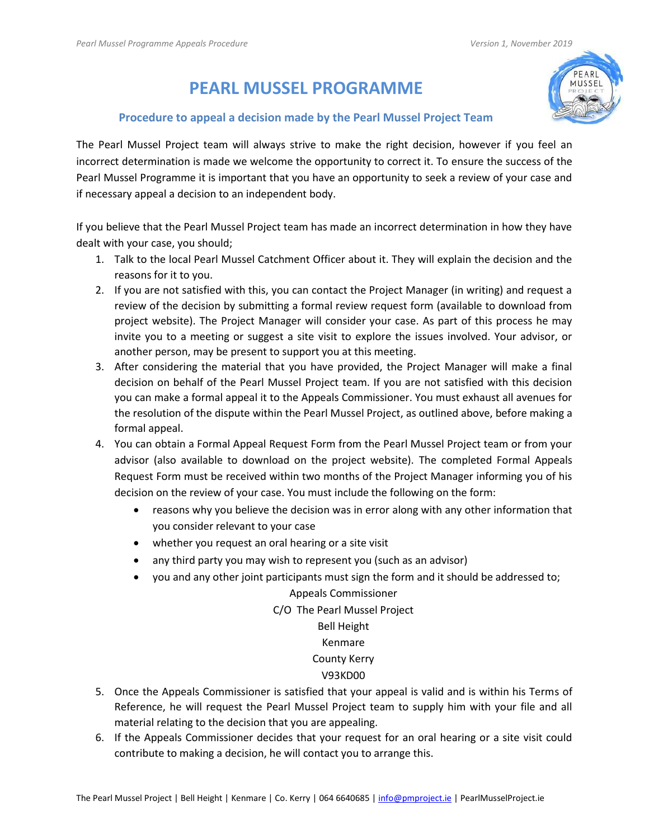# **PEARL MUSSEL PROGRAMME**

# **Procedure to appeal a decision made by the Pearl Mussel Project Team**

MUSSEL

The Pearl Mussel Project team will always strive to make the right decision, however if you feel an incorrect determination is made we welcome the opportunity to correct it. To ensure the success of the Pearl Mussel Programme it is important that you have an opportunity to seek a review of your case and if necessary appeal a decision to an independent body.

If you believe that the Pearl Mussel Project team has made an incorrect determination in how they have dealt with your case, you should;

- 1. Talk to the local Pearl Mussel Catchment Officer about it. They will explain the decision and the reasons for it to you.
- 2. If you are not satisfied with this, you can contact the Project Manager (in writing) and request a review of the decision by submitting a formal review request form (available to download from project website). The Project Manager will consider your case. As part of this process he may invite you to a meeting or suggest a site visit to explore the issues involved. Your advisor, or another person, may be present to support you at this meeting.
- 3. After considering the material that you have provided, the Project Manager will make a final decision on behalf of the Pearl Mussel Project team. If you are not satisfied with this decision you can make a formal appeal it to the Appeals Commissioner. You must exhaust all avenues for the resolution of the dispute within the Pearl Mussel Project, as outlined above, before making a formal appeal.
- 4. You can obtain a Formal Appeal Request Form from the Pearl Mussel Project team or from your advisor (also available to download on the project website). The completed Formal Appeals Request Form must be received within two months of the Project Manager informing you of his decision on the review of your case. You must include the following on the form:
	- reasons why you believe the decision was in error along with any other information that you consider relevant to your case
	- whether you request an oral hearing or a site visit
	- any third party you may wish to represent you (such as an advisor)
	- you and any other joint participants must sign the form and it should be addressed to;

### Appeals Commissioner

C/O The Pearl Mussel Project

# Bell Height

## Kenmare

### County Kerry

# V93KD00

- 5. Once the Appeals Commissioner is satisfied that your appeal is valid and is within his Terms of Reference, he will request the Pearl Mussel Project team to supply him with your file and all material relating to the decision that you are appealing.
- 6. If the Appeals Commissioner decides that your request for an oral hearing or a site visit could contribute to making a decision, he will contact you to arrange this.